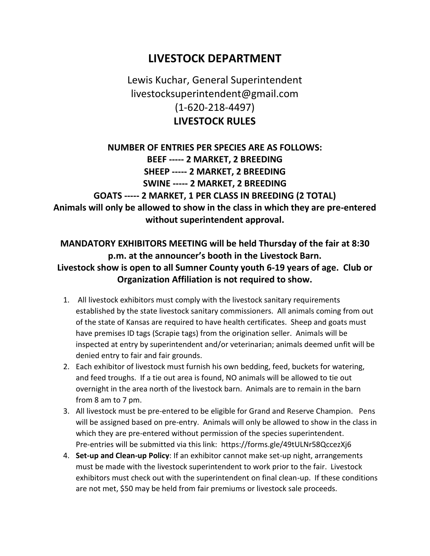## **LIVESTOCK DEPARTMENT**

## Lewis Kuchar, General Superintendent livestocksuperintendent@gmail.com (1-620-218-4497) **LIVESTOCK RULES**

#### **NUMBER OF ENTRIES PER SPECIES ARE AS FOLLOWS: BEEF ----- 2 MARKET, 2 BREEDING SHEEP ----- 2 MARKET, 2 BREEDING SWINE ----- 2 MARKET, 2 BREEDING GOATS ----- 2 MARKET, 1 PER CLASS IN BREEDING (2 TOTAL) Animals will only be allowed to show in the class in which they are pre-entered without superintendent approval.**

#### **MANDATORY EXHIBITORS MEETING will be held Thursday of the fair at 8:30 p.m. at the announcer's booth in the Livestock Barn. Livestock show is open to all Sumner County youth 6-19 years of age. Club or Organization Affiliation is not required to show.**

- 1. All livestock exhibitors must comply with the livestock sanitary requirements established by the state livestock sanitary commissioners. All animals coming from out of the state of Kansas are required to have health certificates. Sheep and goats must have premises ID tags (Scrapie tags) from the origination seller. Animals will be inspected at entry by superintendent and/or veterinarian; animals deemed unfit will be denied entry to fair and fair grounds.
- 2. Each exhibitor of livestock must furnish his own bedding, feed, buckets for watering, and feed troughs. If a tie out area is found, NO animals will be allowed to tie out overnight in the area north of the livestock barn. Animals are to remain in the barn from 8 am to 7 pm.
- 3. All livestock must be pre-entered to be eligible for Grand and Reserve Champion. Pens will be assigned based on pre-entry. Animals will only be allowed to show in the class in which they are pre-entered without permission of the species superintendent. Pre-entries will be submitted via this link: https://forms.gle/49tULNr58QccezXj6
- 4. **Set-up and Clean-up Policy**: If an exhibitor cannot make set-up night, arrangements must be made with the livestock superintendent to work prior to the fair. Livestock exhibitors must check out with the superintendent on final clean-up. If these conditions are not met, \$50 may be held from fair premiums or livestock sale proceeds.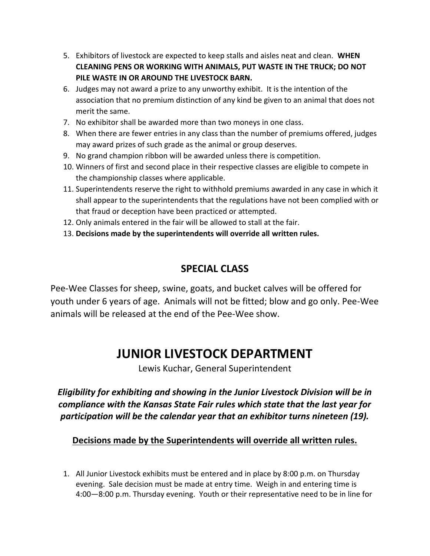- 5. Exhibitors of livestock are expected to keep stalls and aisles neat and clean. **WHEN CLEANING PENS OR WORKING WITH ANIMALS, PUT WASTE IN THE TRUCK; DO NOT PILE WASTE IN OR AROUND THE LIVESTOCK BARN.**
- 6. Judges may not award a prize to any unworthy exhibit. It is the intention of the association that no premium distinction of any kind be given to an animal that does not merit the same.
- 7. No exhibitor shall be awarded more than two moneys in one class.
- 8. When there are fewer entries in any class than the number of premiums offered, judges may award prizes of such grade as the animal or group deserves.
- 9. No grand champion ribbon will be awarded unless there is competition.
- 10. Winners of first and second place in their respective classes are eligible to compete in the championship classes where applicable.
- 11. Superintendents reserve the right to withhold premiums awarded in any case in which it shall appear to the superintendents that the regulations have not been complied with or that fraud or deception have been practiced or attempted.
- 12. Only animals entered in the fair will be allowed to stall at the fair.
- 13. **Decisions made by the superintendents will override all written rules.**

### **SPECIAL CLASS**

Pee-Wee Classes for sheep, swine, goats, and bucket calves will be offered for youth under 6 years of age. Animals will not be fitted; blow and go only. Pee-Wee animals will be released at the end of the Pee-Wee show.

# **JUNIOR LIVESTOCK DEPARTMENT**

Lewis Kuchar, General Superintendent

*Eligibility for exhibiting and showing in the Junior Livestock Division will be in compliance with the Kansas State Fair rules which state that the last year for participation will be the calendar year that an exhibitor turns nineteen (19).*

#### **Decisions made by the Superintendents will override all written rules.**

1. All Junior Livestock exhibits must be entered and in place by 8:00 p.m. on Thursday evening. Sale decision must be made at entry time. Weigh in and entering time is 4:00—8:00 p.m. Thursday evening. Youth or their representative need to be in line for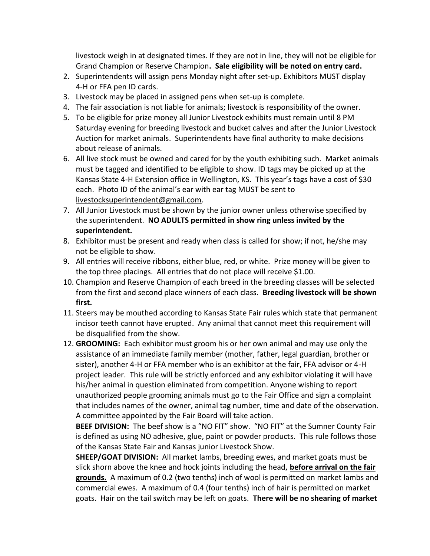livestock weigh in at designated times. If they are not in line, they will not be eligible for Grand Champion or Reserve Champion**. Sale eligibility will be noted on entry card.**

- 2. Superintendents will assign pens Monday night after set-up. Exhibitors MUST display 4-H or FFA pen ID cards.
- 3. Livestock may be placed in assigned pens when set-up is complete.
- 4. The fair association is not liable for animals; livestock is responsibility of the owner.
- 5. To be eligible for prize money all Junior Livestock exhibits must remain until 8 PM Saturday evening for breeding livestock and bucket calves and after the Junior Livestock Auction for market animals. Superintendents have final authority to make decisions about release of animals.
- 6. All live stock must be owned and cared for by the youth exhibiting such. Market animals must be tagged and identified to be eligible to show. ID tags may be picked up at the Kansas State 4-H Extension office in Wellington, KS. This year's tags have a cost of \$30 each. Photo ID of the animal's ear with ear tag MUST be sent to livestocksuperintendent@gmail.com.
- 7. All Junior Livestock must be shown by the junior owner unless otherwise specified by the superintendent. **NO ADULTS permitted in show ring unless invited by the superintendent.**
- 8. Exhibitor must be present and ready when class is called for show; if not, he/she may not be eligible to show.
- 9. All entries will receive ribbons, either blue, red, or white. Prize money will be given to the top three placings. All entries that do not place will receive \$1.00.
- 10. Champion and Reserve Champion of each breed in the breeding classes will be selected from the first and second place winners of each class. **Breeding livestock will be shown first.**
- 11. Steers may be mouthed according to Kansas State Fair rules which state that permanent incisor teeth cannot have erupted. Any animal that cannot meet this requirement will be disqualified from the show.
- 12. **GROOMING:** Each exhibitor must groom his or her own animal and may use only the assistance of an immediate family member (mother, father, legal guardian, brother or sister), another 4-H or FFA member who is an exhibitor at the fair, FFA advisor or 4-H project leader. This rule will be strictly enforced and any exhibitor violating it will have his/her animal in question eliminated from competition. Anyone wishing to report unauthorized people grooming animals must go to the Fair Office and sign a complaint that includes names of the owner, animal tag number, time and date of the observation. A committee appointed by the Fair Board will take action.

**BEEF DIVISION:** The beef show is a "NO FIT" show. "NO FIT" at the Sumner County Fair is defined as using NO adhesive, glue, paint or powder products. This rule follows those of the Kansas State Fair and Kansas junior Livestock Show.

**SHEEP/GOAT DIVISION:** All market lambs, breeding ewes, and market goats must be slick shorn above the knee and hock joints including the head, **before arrival on the fair grounds.** A maximum of 0.2 (two tenths) inch of wool is permitted on market lambs and commercial ewes. A maximum of 0.4 (four tenths) inch of hair is permitted on market goats. Hair on the tail switch may be left on goats. **There will be no shearing of market**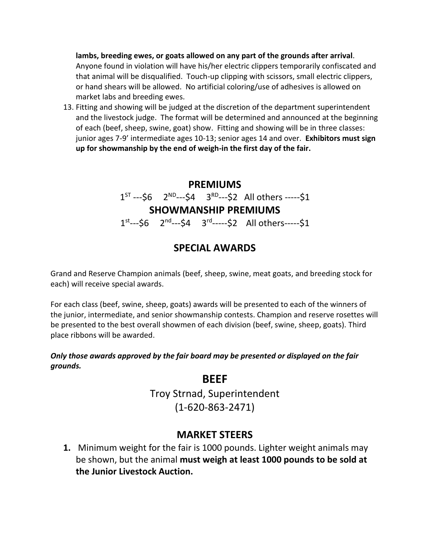**lambs, breeding ewes, or goats allowed on any part of the grounds after arrival**. Anyone found in violation will have his/her electric clippers temporarily confiscated and that animal will be disqualified. Touch-up clipping with scissors, small electric clippers, or hand shears will be allowed. No artificial coloring/use of adhesives is allowed on market labs and breeding ewes.

13. Fitting and showing will be judged at the discretion of the department superintendent and the livestock judge. The format will be determined and announced at the beginning of each (beef, sheep, swine, goat) show. Fitting and showing will be in three classes: junior ages 7-9' intermediate ages 10-13; senior ages 14 and over. **Exhibitors must sign up for showmanship by the end of weigh-in the first day of the fair.**

### **PREMIUMS**  $1^{ST}$ ---\$6  $2^{ND}$ ---\$4  $3^{RD}$ ---\$2 All others -----\$1 **SHOWMANSHIP PREMIUMS** 1<sup>st</sup>---\$6 2<sup>nd</sup>---\$4 3<sup>rd</sup>-----\$2 All others-----\$1

### **SPECIAL AWARDS**

Grand and Reserve Champion animals (beef, sheep, swine, meat goats, and breeding stock for each) will receive special awards.

For each class (beef, swine, sheep, goats) awards will be presented to each of the winners of the junior, intermediate, and senior showmanship contests. Champion and reserve rosettes will be presented to the best overall showmen of each division (beef, swine, sheep, goats). Third place ribbons will be awarded.

#### *Only those awards approved by the fair board may be presented or displayed on the fair grounds.*

#### **BEEF**

Troy Strnad, Superintendent (1-620-863-2471)

#### **MARKET STEERS**

**1.** Minimum weight for the fair is 1000 pounds. Lighter weight animals may be shown, but the animal **must weigh at least 1000 pounds to be sold at the Junior Livestock Auction.**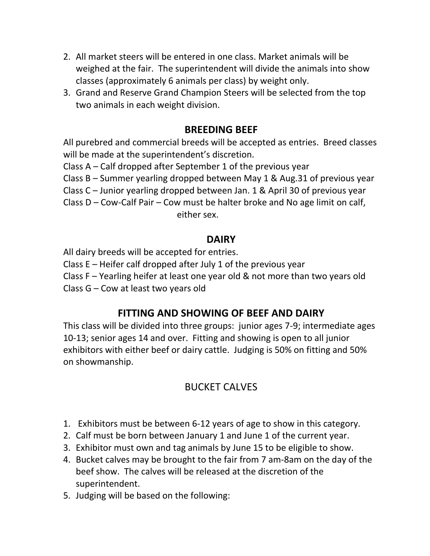- 2. All market steers will be entered in one class. Market animals will be weighed at the fair. The superintendent will divide the animals into show classes (approximately 6 animals per class) by weight only.
- 3. Grand and Reserve Grand Champion Steers will be selected from the top two animals in each weight division.

#### **BREEDING BEEF**

All purebred and commercial breeds will be accepted as entries. Breed classes will be made at the superintendent's discretion.

Class A – Calf dropped after September 1 of the previous year

Class B – Summer yearling dropped between May 1 & Aug.31 of previous year

Class C – Junior yearling dropped between Jan. 1 & April 30 of previous year

Class D – Cow-Calf Pair – Cow must be halter broke and No age limit on calf, either sex.

#### **DAIRY**

All dairy breeds will be accepted for entries.

Class E – Heifer calf dropped after July 1 of the previous year

Class F – Yearling heifer at least one year old & not more than two years old

Class G – Cow at least two years old

#### **FITTING AND SHOWING OF BEEF AND DAIRY**

This class will be divided into three groups: junior ages 7-9; intermediate ages 10-13; senior ages 14 and over. Fitting and showing is open to all junior exhibitors with either beef or dairy cattle. Judging is 50% on fitting and 50% on showmanship.

### BUCKET CALVES

- 1. Exhibitors must be between 6-12 years of age to show in this category.
- 2. Calf must be born between January 1 and June 1 of the current year.
- 3. Exhibitor must own and tag animals by June 15 to be eligible to show.
- 4. Bucket calves may be brought to the fair from 7 am-8am on the day of the beef show. The calves will be released at the discretion of the superintendent.
- 5. Judging will be based on the following: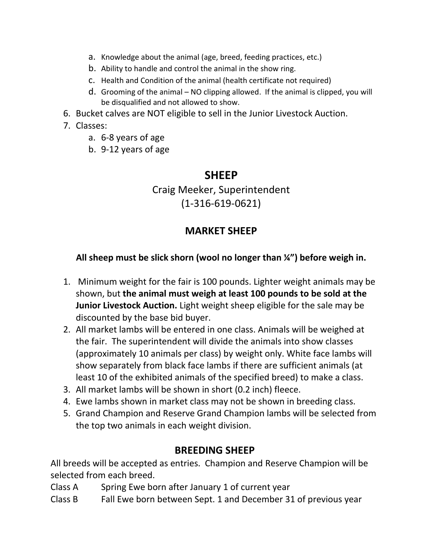- a. Knowledge about the animal (age, breed, feeding practices, etc.)
- b. Ability to handle and control the animal in the show ring.
- c. Health and Condition of the animal (health certificate not required)
- d. Grooming of the animal NO clipping allowed. If the animal is clipped, you will be disqualified and not allowed to show.
- 6. Bucket calves are NOT eligible to sell in the Junior Livestock Auction.

#### 7. Classes:

- a. 6-8 years of age
- b. 9-12 years of age

#### **SHEEP**

Craig Meeker, Superintendent (1-316-619-0621)

### **MARKET SHEEP**

#### **All sheep must be slick shorn (wool no longer than ¼") before weigh in.**

- 1. Minimum weight for the fair is 100 pounds. Lighter weight animals may be shown, but **the animal must weigh at least 100 pounds to be sold at the Junior Livestock Auction.** Light weight sheep eligible for the sale may be discounted by the base bid buyer.
- 2. All market lambs will be entered in one class. Animals will be weighed at the fair. The superintendent will divide the animals into show classes (approximately 10 animals per class) by weight only. White face lambs will show separately from black face lambs if there are sufficient animals (at least 10 of the exhibited animals of the specified breed) to make a class.
- 3. All market lambs will be shown in short (0.2 inch) fleece.
- 4. Ewe lambs shown in market class may not be shown in breeding class.
- 5. Grand Champion and Reserve Grand Champion lambs will be selected from the top two animals in each weight division.

#### **BREEDING SHEEP**

All breeds will be accepted as entries. Champion and Reserve Champion will be selected from each breed.

Class A Spring Ewe born after January 1 of current year

Class B Fall Ewe born between Sept. 1 and December 31 of previous year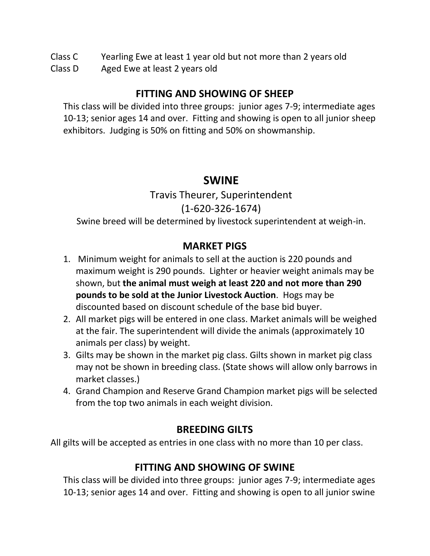Class C Yearling Ewe at least 1 year old but not more than 2 years old

Class D Aged Ewe at least 2 years old

### **FITTING AND SHOWING OF SHEEP**

This class will be divided into three groups: junior ages 7-9; intermediate ages 10-13; senior ages 14 and over. Fitting and showing is open to all junior sheep exhibitors. Judging is 50% on fitting and 50% on showmanship.

## **SWINE**

Travis Theurer, Superintendent (1-620-326-1674) Swine breed will be determined by livestock superintendent at weigh-in.

### **MARKET PIGS**

- 1. Minimum weight for animals to sell at the auction is 220 pounds and maximum weight is 290 pounds. Lighter or heavier weight animals may be shown, but **the animal must weigh at least 220 and not more than 290 pounds to be sold at the Junior Livestock Auction**. Hogs may be discounted based on discount schedule of the base bid buyer.
- 2. All market pigs will be entered in one class. Market animals will be weighed at the fair. The superintendent will divide the animals (approximately 10 animals per class) by weight.
- 3. Gilts may be shown in the market pig class. Gilts shown in market pig class may not be shown in breeding class. (State shows will allow only barrows in market classes.)
- 4. Grand Champion and Reserve Grand Champion market pigs will be selected from the top two animals in each weight division.

### **BREEDING GILTS**

All gilts will be accepted as entries in one class with no more than 10 per class.

### **FITTING AND SHOWING OF SWINE**

This class will be divided into three groups: junior ages 7-9; intermediate ages 10-13; senior ages 14 and over. Fitting and showing is open to all junior swine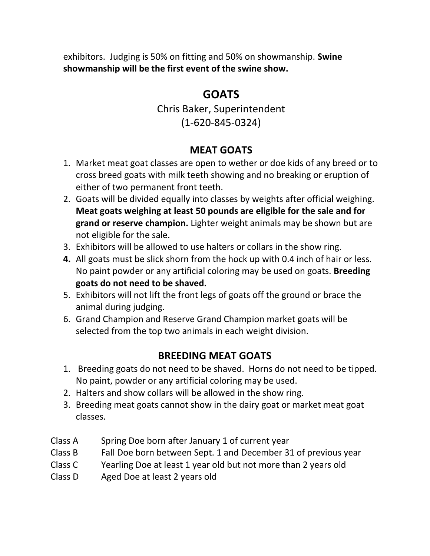exhibitors. Judging is 50% on fitting and 50% on showmanship. **Swine showmanship will be the first event of the swine show.**

# **GOATS**

Chris Baker, Superintendent (1-620-845-0324)

### **MEAT GOATS**

- 1. Market meat goat classes are open to wether or doe kids of any breed or to cross breed goats with milk teeth showing and no breaking or eruption of either of two permanent front teeth.
- 2. Goats will be divided equally into classes by weights after official weighing. **Meat goats weighing at least 50 pounds are eligible for the sale and for grand or reserve champion.** Lighter weight animals may be shown but are not eligible for the sale.
- 3. Exhibitors will be allowed to use halters or collars in the show ring.
- **4.** All goats must be slick shorn from the hock up with 0.4 inch of hair or less. No paint powder or any artificial coloring may be used on goats. **Breeding goats do not need to be shaved.**
- 5. Exhibitors will not lift the front legs of goats off the ground or brace the animal during judging.
- 6. Grand Champion and Reserve Grand Champion market goats will be selected from the top two animals in each weight division.

## **BREEDING MEAT GOATS**

- 1. Breeding goats do not need to be shaved. Horns do not need to be tipped. No paint, powder or any artificial coloring may be used.
- 2. Halters and show collars will be allowed in the show ring.
- 3. Breeding meat goats cannot show in the dairy goat or market meat goat classes.
- Class A Spring Doe born after January 1 of current year
- Class B Fall Doe born between Sept. 1 and December 31 of previous year
- Class C Yearling Doe at least 1 year old but not more than 2 years old
- Class D Aged Doe at least 2 years old